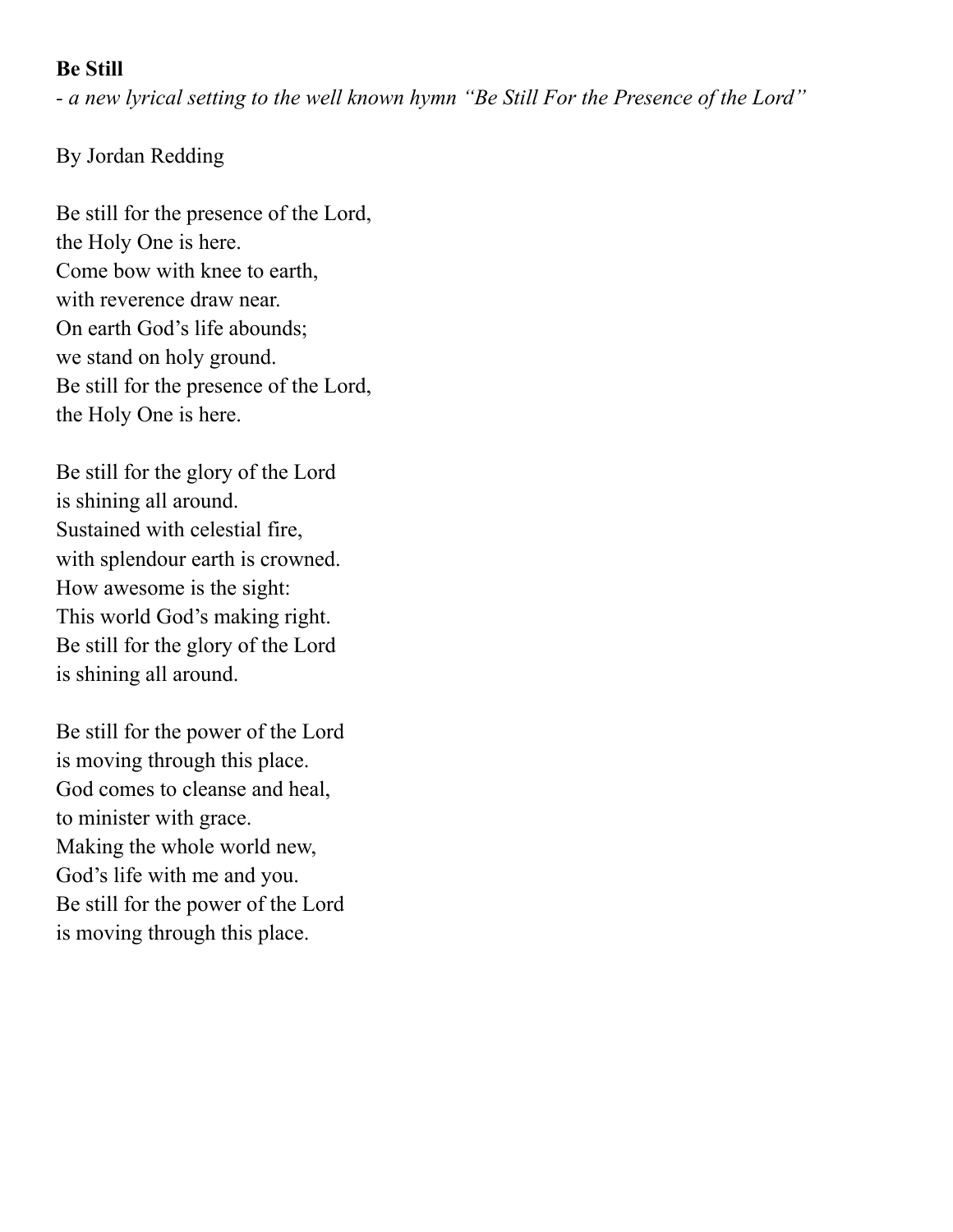## **Be Still**

*- a new lyrical setting to the well known hymn "Be Still For the Presence of the Lord"*

## By Jordan Redding

Be still for the presence of the Lord, the Holy One is here. Come bow with knee to earth, with reverence draw near. On earth God's life abounds; we stand on holy ground. Be still for the presence of the Lord, the Holy One is here.

Be still for the glory of the Lord is shining all around. Sustained with celestial fire, with splendour earth is crowned. How awesome is the sight: This world God's making right. Be still for the glory of the Lord is shining all around.

Be still for the power of the Lord is moving through this place. God comes to cleanse and heal, to minister with grace. Making the whole world new, God's life with me and you. Be still for the power of the Lord is moving through this place.